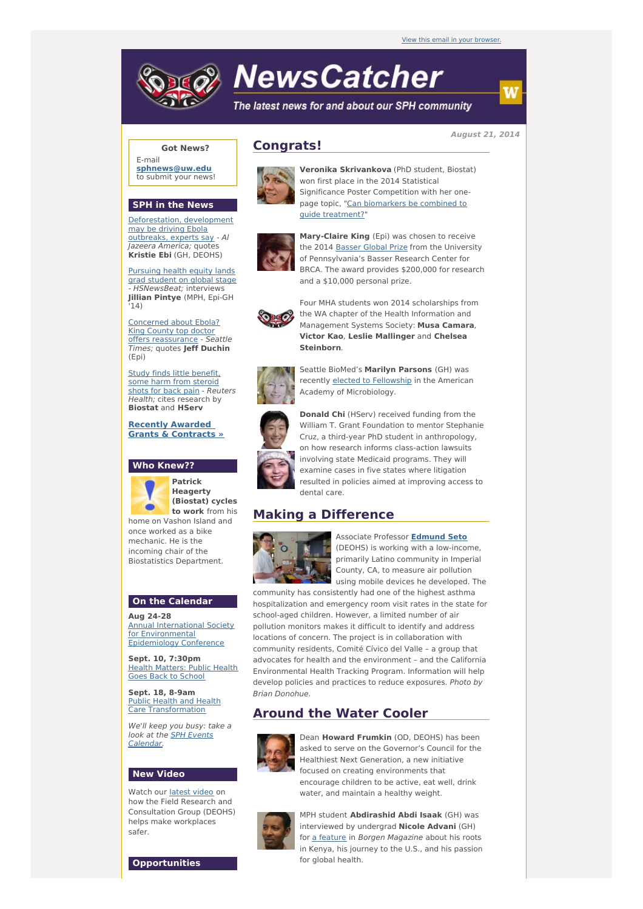# **NewsCatcher**

The latest news for and about our SPH community

**August 21, 2014**

#### **Got News?**

E-mail **[sphnews@uw.edu](mailto:sphnews@uw.edu)** to submit your news!

#### **SPH in the News**

[Deforestation,](http://engage.washington.edu/site/R?i=PH2--z7USXUOBR08OkxzqA) development may be driving Ebola outbreaks, experts say - Al Jazeera America; quotes **Kristie Ebi** (GH, DEOHS)

[Pursuing](http://engage.washington.edu/site/R?i=ftJUZ9xlaIyVUF9S6Qdxog) health equity lands grad student on global stage - HSNewsBeat; interviews **Jillian Pintye** (MPH, Epi-GH  $14)$ 

Concerned about Ebola? King County top doctor offers [reassurance](http://engage.washington.edu/site/R?i=Fk5AMGLzCgRP4sU7i1XaQA) - Seattle Times; quotes **Jeff Duchin** (Epi)

Study finds little [benefit,](http://engage.washington.edu/site/R?i=lUhY7XqeaJV1MB_um_vjJg) some harm from steroid shots for back pain - Reuters Health; cites research by **Biostat** and **HServ**

**Recently Awarded Grants & [Contracts](http://engage.washington.edu/site/R?i=S7AHMx9y4famFOSS-D2mKw) »**

#### **Who Knew??**

**Patrick Heagerty (Biostat) cycles to work** from his home on Vashon Island and once worked as a bike mechanic. He is the incoming chair of the Biostatistics Department.

#### **On the Calendar**

**Aug 24-28** Annual International Society for [Environmental](http://engage.washington.edu/site/R?i=h1oB5rsdE9alIHhamrQntA) Epidemiology Conference

**Sept. 10, 7:30pm** Health [Matters:](http://engage.washington.edu/site/R?i=Kpjct_GixRZvrxHipuu-0A) Public Health Goes Back to School

**Sept. 18, 8-9am** Public Health and Health Care [Transformation](http://engage.washington.edu/site/R?i=e25tUOWR6B_7lFEf5ZlPcw)

We'll keep you busy: take a look at the SPH Events [Calendar.](http://engage.washington.edu/site/R?i=Iqt8Y9bn3x1d5kBKXUDp6g)

### **New Video**

Watch our [latest](http://engage.washington.edu/site/R?i=9XTNlUELy16OFR9drPXe-Q) video on how the Field Research and Consultation Group (DEOHS) helps make workplaces safer.

# **Congrats!**



**Veronika Skrivankova** (PhD student, Biostat) won first place in the 2014 Statistical Significance Poster Competition with her onepage topic, "Can [biomarkers](http://engage.washington.edu/site/R?i=AtVnvlA9Lr-6WvgyPmHVqg) be combined to guide treatment?"



**Mary-Claire King** (Epi) was chosen to receive the 2014 [Basser](http://engage.washington.edu/site/R?i=HVMEBYMovxQwuF36t0M64w) Global Prize from the University of Pennsylvania's Basser Research Center for BRCA. The award provides \$200,000 for research and a \$10,000 personal prize.



Four MHA students won 2014 scholarships from the WA chapter of the Health Information and Management Systems Society: **Musa Camara**, **Victor Kao**, **Leslie Mallinger** and **Chelsea Steinborn**.





recently elected to [Fellowship](http://engage.washington.edu/site/R?i=k0JO1OIlMmZ1x0wNqNHbbQ) in the American Academy of Microbiology. **Donald Chi** (HServ) received funding from the William T. Grant Foundation to mentor Stephanie

Cruz, a third-year PhD student in anthropology, on how research informs class-action lawsuits involving state Medicaid programs. They will examine cases in five states where litigation resulted in policies aimed at improving access to dental care.

## **Making a Difference**



Associate Professor **[Edmund](http://engage.washington.edu/site/R?i=QAumN4w20U6XpX8w5ndDPQ) Seto** (DEOHS) is working with a low-income, primarily Latino community in Imperial

County, CA, to measure air pollution using mobile devices he developed. The community has consistently had one of the highest asthma

hospitalization and emergency room visit rates in the state for school-aged children. However, a limited number of air pollution monitors makes it difficult to identify and address locations of concern. The project is in collaboration with community residents, Comité Cívico del Valle – a group that advocates for health and the environment – and the California Environmental Health Tracking Program. Information will help develop policies and practices to reduce exposures. Photo by Brian Donohue.

# **Around the Water Cooler**



Dean **Howard Frumkin** (OD, DEOHS) has been asked to serve on the Governor's Council for the Healthiest Next Generation, a new initiative focused on creating environments that encourage children to be active, eat well, drink water, and maintain a healthy weight.



MPH student **Abdirashid Abdi Isaak** (GH) was interviewed by undergrad **Nicole Advani** (GH) for a [feature](http://engage.washington.edu/site/R?i=jEQGvgksRM1quE03d7i_Aw) in Borgen Magazine about his roots in Kenya, his journey to the U.S., and his passion for global health.

**Opportunities**